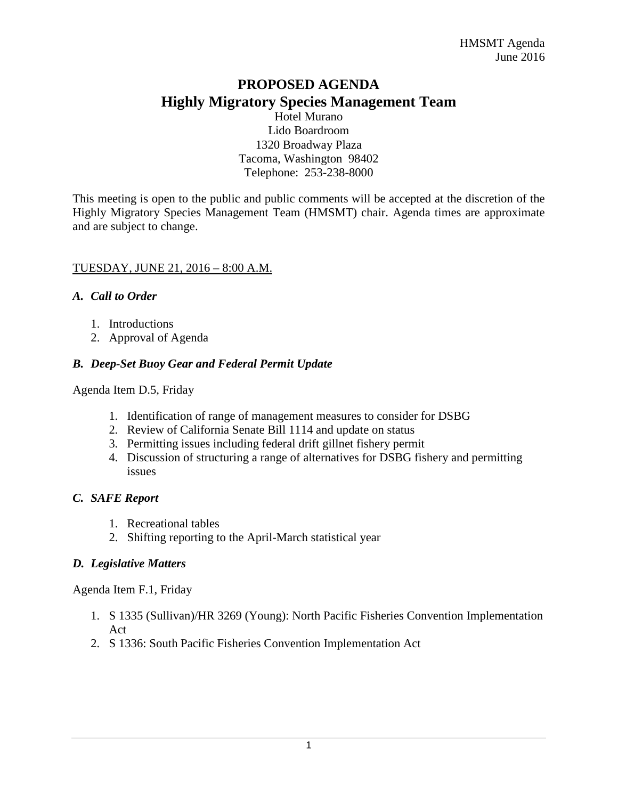# **PROPOSED AGENDA Highly Migratory Species Management Team**

Hotel Murano Lido Boardroom 1320 Broadway Plaza Tacoma, Washington 98402 Telephone: 253-238-8000

This meeting is open to the public and public comments will be accepted at the discretion of the Highly Migratory Species Management Team (HMSMT) chair. Agenda times are approximate and are subject to change.

#### TUESDAY, JUNE 21, 2016 – 8:00 A.M.

#### *A. Call to Order*

- 1. Introductions
- 2. Approval of Agenda

## *B. Deep-Set Buoy Gear and Federal Permit Update*

Agenda Item D.5, Friday

- 1. Identification of range of management measures to consider for DSBG
- 2. Review of California Senate Bill 1114 and update on status
- 3. Permitting issues including federal drift gillnet fishery permit
- 4. Discussion of structuring a range of alternatives for DSBG fishery and permitting issues

## *C. SAFE Report*

- 1. Recreational tables
- 2. Shifting reporting to the April-March statistical year

## *D. Legislative Matters*

Agenda Item F.1, Friday

- 1. S 1335 (Sullivan)/HR 3269 (Young): North Pacific Fisheries Convention Implementation Act
- 2. S 1336: South Pacific Fisheries Convention Implementation Act